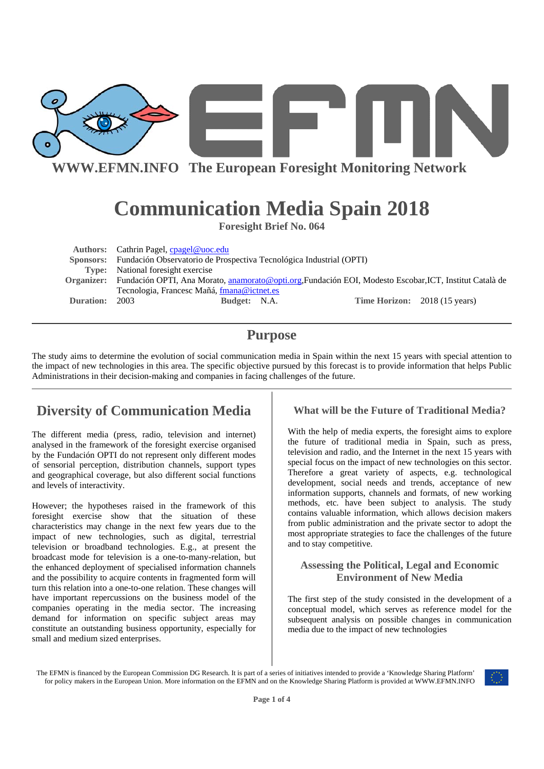

# **Communication Media Spain 2018**

**Foresight Brief No. 064** 

|           | Authors: Cathrin Pagel, cpagel@uoc.edu                                                                            |  |                               |  |
|-----------|-------------------------------------------------------------------------------------------------------------------|--|-------------------------------|--|
|           | Sponsors: Fundación Observatorio de Prospectiva Tecnológica Industrial (OPTI)                                     |  |                               |  |
|           | <b>Type:</b> National foresight exercise                                                                          |  |                               |  |
|           | Organizer: Fundación OPTI, Ana Morato, anamorato@opti.org,Fundación EOI, Modesto Escobar, ICT, Institut Català de |  |                               |  |
|           | Tecnologia, Francesc Mañá, fmana@ictnet.es                                                                        |  |                               |  |
| Duration: | 2003<br>Budget: N.A.                                                                                              |  | Time Horizon: 2018 (15 years) |  |

# **Purpose**

The study aims to determine the evolution of social communication media in Spain within the next 15 years with special attention to the impact of new technologies in this area. The specific objective pursued by this forecast is to provide information that helps Public Administrations in their decision-making and companies in facing challenges of the future.

# **Diversity of Communication Media**

The different media (press, radio, television and internet) analysed in the framework of the foresight exercise organised by the Fundación OPTI do not represent only different modes of sensorial perception, distribution channels, support types and geographical coverage, but also different social functions and levels of interactivity.

However; the hypotheses raised in the framework of this foresight exercise show that the situation of these characteristics may change in the next few years due to the impact of new technologies, such as digital, terrestrial television or broadband technologies. E.g., at present the broadcast mode for television is a one-to-many-relation, but the enhanced deployment of specialised information channels and the possibility to acquire contents in fragmented form will turn this relation into a one-to-one relation. These changes will have important repercussions on the business model of the companies operating in the media sector. The increasing demand for information on specific subject areas may constitute an outstanding business opportunity, especially for small and medium sized enterprises.

#### **What will be the Future of Traditional Media?**

With the help of media experts, the foresight aims to explore the future of traditional media in Spain, such as press, television and radio, and the Internet in the next 15 years with special focus on the impact of new technologies on this sector. Therefore a great variety of aspects, e.g. technological development, social needs and trends, acceptance of new information supports, channels and formats, of new working methods, etc. have been subject to analysis. The study contains valuable information, which allows decision makers from public administration and the private sector to adopt the most appropriate strategies to face the challenges of the future and to stay competitive.

#### **Assessing the Political, Legal and Economic Environment of New Media**

The first step of the study consisted in the development of a conceptual model, which serves as reference model for the subsequent analysis on possible changes in communication media due to the impact of new technologies

The EFMN is financed by the European Commission DG Research. It is part of a series of initiatives intended to provide a 'Knowledge Sharing Platform' for policy makers in the European Union. More information on the EFMN and on the Knowledge Sharing Platform is provided at WWW.EFMN.INFO

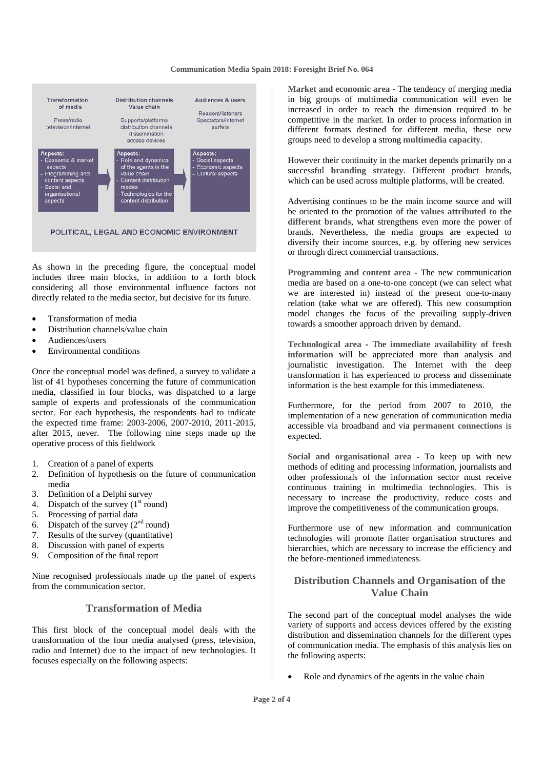#### **Communication Media Spain 2018: Foresight Brief No. 064**



POLITICAL, LEGAL AND ECONOMIC ENVIRONMENT

As shown in the preceding figure, the conceptual model includes three main blocks, in addition to a forth block considering all those environmental influence factors not directly related to the media sector, but decisive for its future.

- Transformation of media
- Distribution channels/value chain
- Audiences/users
- Environmental conditions

Once the conceptual model was defined, a survey to validate a list of 41 hypotheses concerning the future of communication media, classified in four blocks, was dispatched to a large sample of experts and professionals of the communication sector. For each hypothesis, the respondents had to indicate the expected time frame: 2003-2006, 2007-2010, 2011-2015, after 2015, never. The following nine steps made up the operative process of this fieldwork

- 1. Creation of a panel of experts
- 2. Definition of hypothesis on the future of communication media
- 3. Definition of a Delphi survey
- 4. Dispatch of the survey  $(1<sup>st</sup>$  round)
- 5. Processing of partial data
- 6. Dispatch of the survey  $(2<sup>nd</sup>$  round)
- 7. Results of the survey (quantitative)
- 8. Discussion with panel of experts
- 9. Composition of the final report

Nine recognised professionals made up the panel of experts from the communication sector.

#### **Transformation of Media**

This first block of the conceptual model deals with the transformation of the four media analysed (press, television, radio and Internet) due to the impact of new technologies. It focuses especially on the following aspects:

**Market and economic area** - The tendency of merging media in big groups of multimedia communication will even be increased in order to reach the dimension required to be competitive in the market. In order to process information in different formats destined for different media, these new groups need to develop a strong **multimedia capacity**.

However their continuity in the market depends primarily on a successful **branding strategy**. Different product brands, which can be used across multiple platforms, will be created.

Advertising continues to be the main income source and will be oriented to the promotion of the **values attributed to the different brands**, what strengthens even more the power of brands. Nevertheless, the media groups are expected to diversify their income sources, e.g. by offering new services or through direct commercial transactions.

**Programming and content area** - The new communication media are based on a one-to-one concept (we can select what we are interested in) instead of the present one-to-many relation (take what we are offered). This new consumption model changes the focus of the prevailing supply-driven towards a smoother approach driven by demand.

**Technological area -** The **immediate availability of fresh information** will be appreciated more than analysis and journalistic investigation. The Internet with the deep transformation it has experienced to process and disseminate information is the best example for this immediateness.

Furthermore, for the period from 2007 to 2010, the implementation of a new generation of communication media accessible via broadband and via **permanent connections** is expected.

**Social and organisational area -** To keep up with new methods of editing and processing information, journalists and other professionals of the information sector must receive continuous training in multimedia technologies. This is necessary to increase the productivity, reduce costs and improve the competitiveness of the communication groups.

Furthermore use of new information and communication technologies will promote flatter organisation structures and hierarchies, which are necessary to increase the efficiency and the before-mentioned immediateness.

#### **Distribution Channels and Organisation of the Value Chain**

The second part of the conceptual model analyses the wide variety of supports and access devices offered by the existing distribution and dissemination channels for the different types of communication media. The emphasis of this analysis lies on the following aspects:

Role and dynamics of the agents in the value chain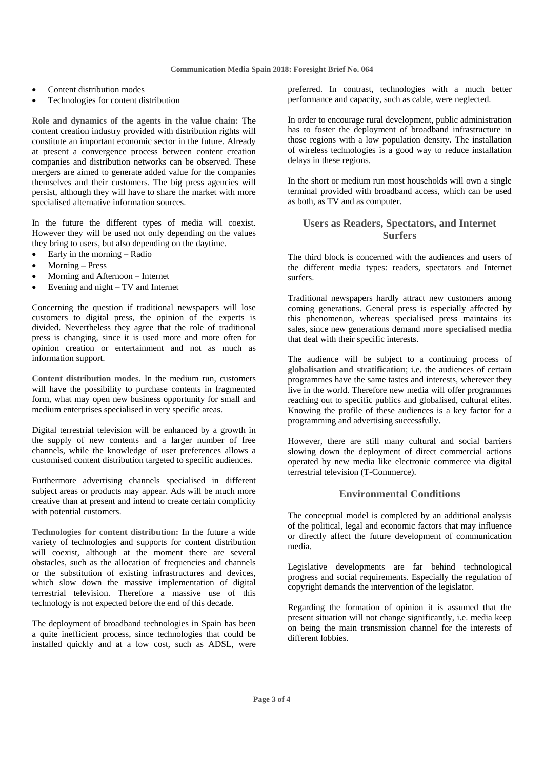- Content distribution modes
- Technologies for content distribution

**Role and dynamics of the agents in the value chain:** The content creation industry provided with distribution rights will constitute an important economic sector in the future. Already at present a convergence process between content creation companies and distribution networks can be observed. These mergers are aimed to generate added value for the companies themselves and their customers. The big press agencies will persist, although they will have to share the market with more specialised alternative information sources.

In the future the different types of media will coexist. However they will be used not only depending on the values they bring to users, but also depending on the daytime.

- Early in the morning Radio
- Morning Press
- Morning and Afternoon Internet
- Evening and night TV and Internet

Concerning the question if traditional newspapers will lose customers to digital press, the opinion of the experts is divided. Nevertheless they agree that the role of traditional press is changing, since it is used more and more often for opinion creation or entertainment and not as much as information support.

**Content distribution modes.** In the medium run, customers will have the possibility to purchase contents in fragmented form, what may open new business opportunity for small and medium enterprises specialised in very specific areas.

Digital terrestrial television will be enhanced by a growth in the supply of new contents and a larger number of free channels, while the knowledge of user preferences allows a customised content distribution targeted to specific audiences.

Furthermore advertising channels specialised in different subject areas or products may appear. Ads will be much more creative than at present and intend to create certain complicity with potential customers.

**Technologies for content distribution:** In the future a wide variety of technologies and supports for content distribution will coexist, although at the moment there are several obstacles, such as the allocation of frequencies and channels or the substitution of existing infrastructures and devices, which slow down the massive implementation of digital terrestrial television. Therefore a massive use of this technology is not expected before the end of this decade.

The deployment of broadband technologies in Spain has been a quite inefficient process, since technologies that could be installed quickly and at a low cost, such as ADSL, were preferred. In contrast, technologies with a much better performance and capacity, such as cable, were neglected.

In order to encourage rural development, public administration has to foster the deployment of broadband infrastructure in those regions with a low population density. The installation of wireless technologies is a good way to reduce installation delays in these regions.

In the short or medium run most households will own a single terminal provided with broadband access, which can be used as both, as TV and as computer.

#### **Users as Readers, Spectators, and Internet Surfers**

The third block is concerned with the audiences and users of the different media types: readers, spectators and Internet surfers.

Traditional newspapers hardly attract new customers among coming generations. General press is especially affected by this phenomenon, whereas specialised press maintains its sales, since new generations demand **more specialised media** that deal with their specific interests.

The audience will be subject to a continuing process of **globalisation and stratification**; i.e. the audiences of certain programmes have the same tastes and interests, wherever they live in the world. Therefore new media will offer programmes reaching out to specific publics and globalised, cultural elites. Knowing the profile of these audiences is a key factor for a programming and advertising successfully.

However, there are still many cultural and social barriers slowing down the deployment of direct commercial actions operated by new media like electronic commerce via digital terrestrial television (T-Commerce).

#### **Environmental Conditions**

The conceptual model is completed by an additional analysis of the political, legal and economic factors that may influence or directly affect the future development of communication media.

Legislative developments are far behind technological progress and social requirements. Especially the regulation of copyright demands the intervention of the legislator.

Regarding the formation of opinion it is assumed that the present situation will not change significantly, i.e. media keep on being the main transmission channel for the interests of different lobbies.